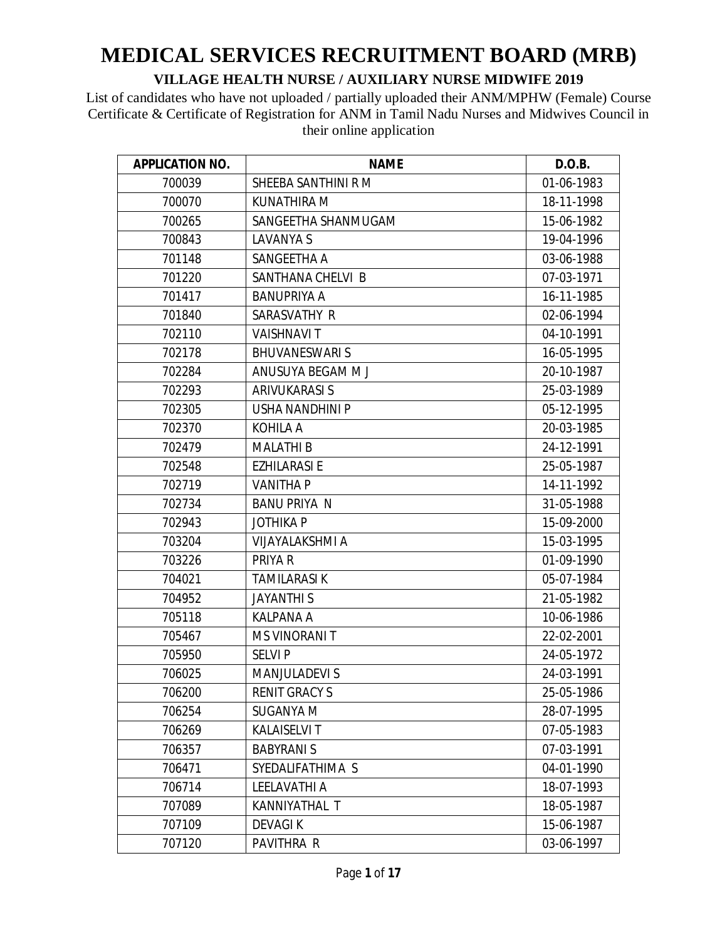| <b>APPLICATION NO.</b> | <b>NAME</b>            | D.O.B.     |
|------------------------|------------------------|------------|
| 700039                 | SHEEBA SANTHINI R M    | 01-06-1983 |
| 700070                 | KUNATHIRA M            | 18-11-1998 |
| 700265                 | SANGEETHA SHANMUGAM    | 15-06-1982 |
| 700843                 | LAVANYA S              | 19-04-1996 |
| 701148                 | SANGEETHA A            | 03-06-1988 |
| 701220                 | SANTHANA CHELVI B      | 07-03-1971 |
| 701417                 | <b>BANUPRIYA A</b>     | 16-11-1985 |
| 701840                 | SARASVATHY R           | 02-06-1994 |
| 702110                 | <b>VAISHNAVIT</b>      | 04-10-1991 |
| 702178                 | <b>BHUVANESWARIS</b>   | 16-05-1995 |
| 702284                 | ANUSUYA BEGAM M J      | 20-10-1987 |
| 702293                 | ARIVUKARASI S          | 25-03-1989 |
| 702305                 | <b>USHA NANDHINI P</b> | 05-12-1995 |
| 702370                 | KOHILA A               | 20-03-1985 |
| 702479                 | <b>MALATHI B</b>       | 24-12-1991 |
| 702548                 | <b>EZHILARASI E</b>    | 25-05-1987 |
| 702719                 | <b>VANITHA P</b>       | 14-11-1992 |
| 702734                 | <b>BANU PRIYA N</b>    | 31-05-1988 |
| 702943                 | <b>JOTHIKAP</b>        | 15-09-2000 |
| 703204                 | <b>VIJAYALAKSHMI A</b> | 15-03-1995 |
| 703226                 | PRIYA R                | 01-09-1990 |
| 704021                 | <b>TAMILARASIK</b>     | 05-07-1984 |
| 704952                 | <b>JAYANTHIS</b>       | 21-05-1982 |
| 705118                 | <b>KALPANA A</b>       | 10-06-1986 |
| 705467                 | <b>MS VINORANIT</b>    | 22-02-2001 |
| 705950                 | <b>SELVIP</b>          | 24-05-1972 |
| 706025                 | <b>MANJULADEVI S</b>   | 24-03-1991 |
| 706200                 | <b>RENIT GRACY S</b>   | 25-05-1986 |
| 706254                 | <b>SUGANYA M</b>       | 28-07-1995 |
| 706269                 | <b>KALAISELVIT</b>     | 07-05-1983 |
| 706357                 | <b>BABYRANIS</b>       | 07-03-1991 |
| 706471                 | SYEDALIFATHIMA S       | 04-01-1990 |
| 706714                 | LEELAVATHI A           | 18-07-1993 |
| 707089                 | KANNIYATHAL T          | 18-05-1987 |
| 707109                 | <b>DEVAGIK</b>         | 15-06-1987 |
| 707120                 | PAVITHRA R             | 03-06-1997 |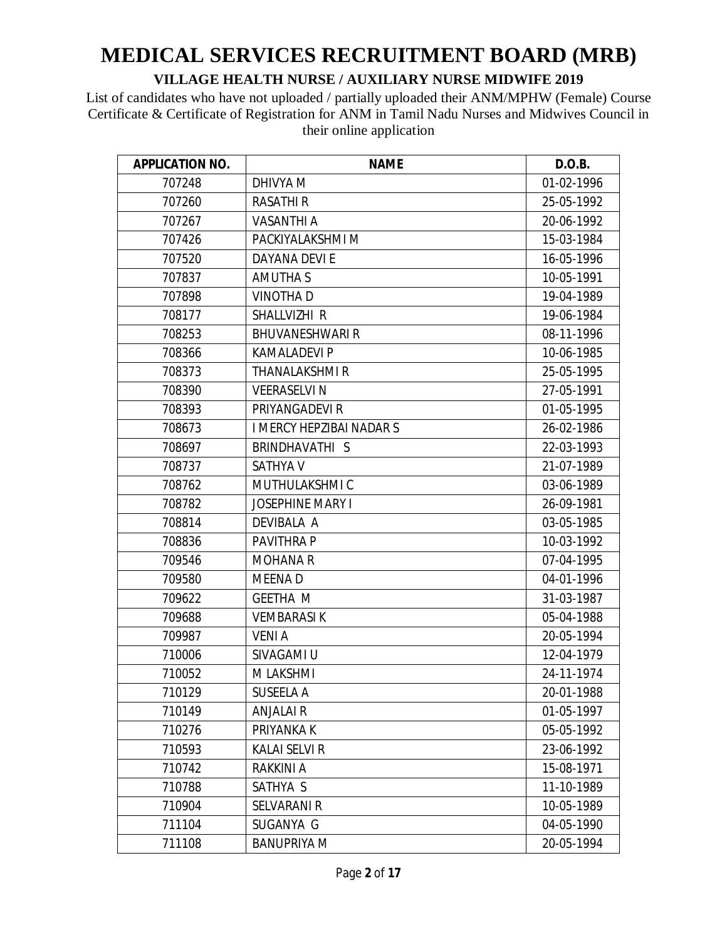| <b>APPLICATION NO.</b> | <b>NAME</b>              | D.O.B.     |
|------------------------|--------------------------|------------|
| 707248                 | DHIVYA M                 | 01-02-1996 |
| 707260                 | <b>RASATHI R</b>         | 25-05-1992 |
| 707267                 | <b>VASANTHI A</b>        | 20-06-1992 |
| 707426                 | PACKIYALAKSHMI M         | 15-03-1984 |
| 707520                 | DAYANA DEVI E            | 16-05-1996 |
| 707837                 | <b>AMUTHAS</b>           | 10-05-1991 |
| 707898                 | <b>VINOTHAD</b>          | 19-04-1989 |
| 708177                 | SHALLVIZHI R             | 19-06-1984 |
| 708253                 | <b>BHUVANESHWARI R</b>   | 08-11-1996 |
| 708366                 | <b>KAMALADEVI P</b>      | 10-06-1985 |
| 708373                 | <b>THANALAKSHMI R</b>    | 25-05-1995 |
| 708390                 | <b>VEERASELVI N</b>      | 27-05-1991 |
| 708393                 | PRIYANGADEVI R           | 01-05-1995 |
| 708673                 | I MERCY HEPZIBAI NADAR S | 26-02-1986 |
| 708697                 | BRINDHAVATHI S           | 22-03-1993 |
| 708737                 | <b>SATHYA V</b>          | 21-07-1989 |
| 708762                 | MUTHULAKSHMI C           | 03-06-1989 |
| 708782                 | <b>JOSEPHINE MARY I</b>  | 26-09-1981 |
| 708814                 | DEVIBALA A               | 03-05-1985 |
| 708836                 | <b>PAVITHRA P</b>        | 10-03-1992 |
| 709546                 | <b>MOHANA R</b>          | 07-04-1995 |
| 709580                 | <b>MEENAD</b>            | 04-01-1996 |
| 709622                 | <b>GEETHA M</b>          | 31-03-1987 |
| 709688                 | <b>VEMBARASIK</b>        | 05-04-1988 |
| 709987                 | <b>VENIA</b>             | 20-05-1994 |
| 710006                 | SIVAGAMI U               | 12-04-1979 |
| 710052                 | M LAKSHMI                | 24-11-1974 |
| 710129                 | <b>SUSEELA A</b>         | 20-01-1988 |
| 710149                 | <b>ANJALAIR</b>          | 01-05-1997 |
| 710276                 | PRIYANKA K               | 05-05-1992 |
| 710593                 | <b>KALAI SELVI R</b>     | 23-06-1992 |
| 710742                 | RAKKINI A                | 15-08-1971 |
| 710788                 | SATHYA S                 | 11-10-1989 |
| 710904                 | <b>SELVARANI R</b>       | 10-05-1989 |
| 711104                 | SUGANYA G                | 04-05-1990 |
| 711108                 | <b>BANUPRIYA M</b>       | 20-05-1994 |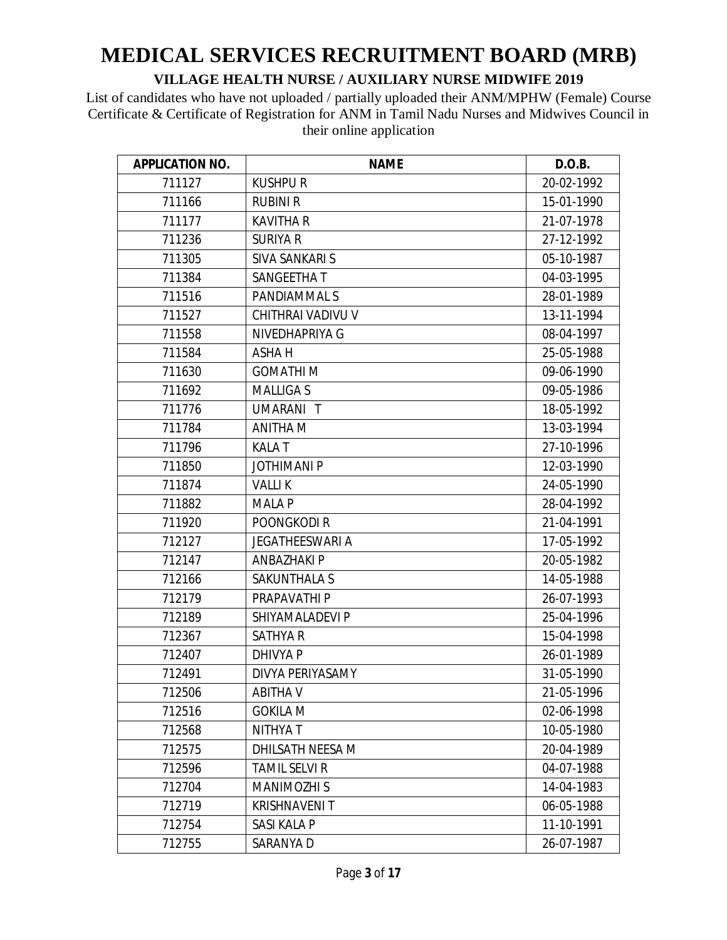| <b>APPLICATION NO.</b> | <b>NAME</b>            | D.O.B.     |
|------------------------|------------------------|------------|
| 711127                 | <b>KUSHPUR</b>         | 20-02-1992 |
| 711166                 | <b>RUBINI R</b>        | 15-01-1990 |
| 711177                 | <b>KAVITHA R</b>       | 21-07-1978 |
| 711236                 | <b>SURIYA R</b>        | 27-12-1992 |
| 711305                 | SIVA SANKARI S         | 05-10-1987 |
| 711384                 | SANGEETHA T            | 04-03-1995 |
| 711516                 | PANDIAMMAL S           | 28-01-1989 |
| 711527                 | CHITHRAI VADIVU V      | 13-11-1994 |
| 711558                 | NIVEDHAPRIYA G         | 08-04-1997 |
| 711584                 | ASHA H                 | 25-05-1988 |
| 711630                 | <b>GOMATHIM</b>        | 09-06-1990 |
| 711692                 | <b>MALLIGAS</b>        | 09-05-1986 |
| 711776                 | UMARANI T              | 18-05-1992 |
| 711784                 | <b>ANITHA M</b>        | 13-03-1994 |
| 711796                 | <b>KALAT</b>           | 27-10-1996 |
| 711850                 | <b>JOTHIMANI P</b>     | 12-03-1990 |
| 711874                 | <b>VALLIK</b>          | 24-05-1990 |
| 711882                 | <b>MALA P</b>          | 28-04-1992 |
| 711920                 | POONGKODI R            | 21-04-1991 |
| 712127                 | <b>JEGATHEESWARI A</b> | 17-05-1992 |
| 712147                 | <b>ANBAZHAKI P</b>     | 20-05-1982 |
| 712166                 | SAKUNTHALA S           | 14-05-1988 |
| 712179                 | PRAPAVATHI P           | 26-07-1993 |
| 712189                 | SHIYAMALADEVI P        | 25-04-1996 |
| 712367                 | <b>SATHYA R</b>        | 15-04-1998 |
| 712407                 | <b>DHIVYA P</b>        | 26-01-1989 |
| 712491                 | DIVYA PERIYASAMY       | 31-05-1990 |
| 712506                 | <b>ABITHA V</b>        | 21-05-1996 |
| 712516                 | <b>GOKILA M</b>        | 02-06-1998 |
| 712568                 | <b>NITHYAT</b>         | 10-05-1980 |
| 712575                 | DHILSATH NEESA M       | 20-04-1989 |
| 712596                 | <b>TAMIL SELVI R</b>   | 04-07-1988 |
| 712704                 | <b>MANIMOZHI S</b>     | 14-04-1983 |
| 712719                 | <b>KRISHNAVENIT</b>    | 06-05-1988 |
| 712754                 | SASI KALA P            | 11-10-1991 |
| 712755                 | SARANYA D              | 26-07-1987 |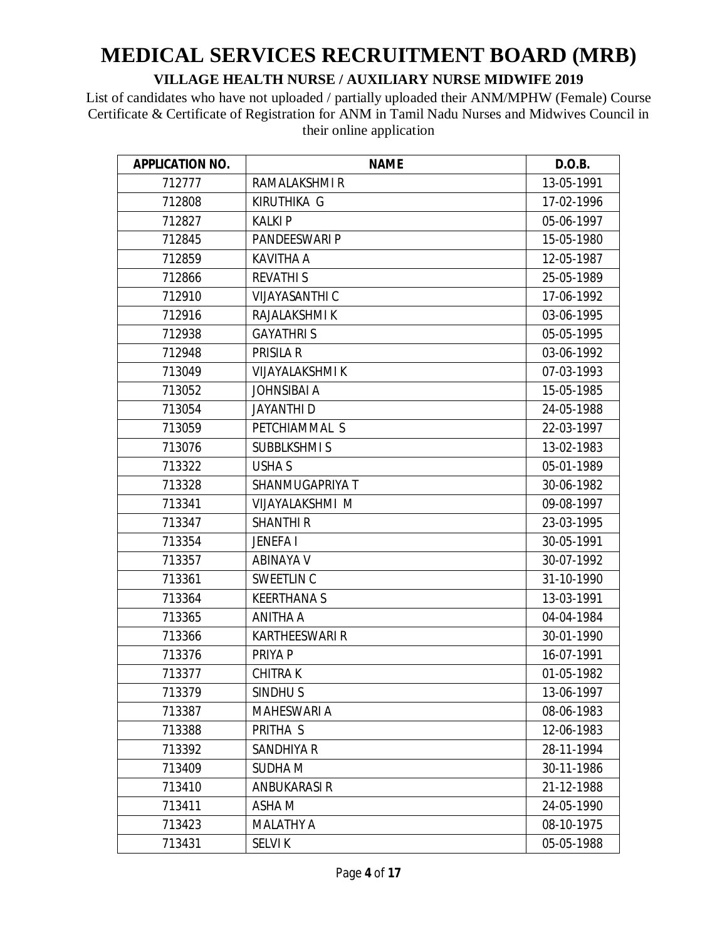| <b>APPLICATION NO.</b> | <b>NAME</b>            | D.O.B.     |
|------------------------|------------------------|------------|
| 712777                 | RAMALAKSHMI R          | 13-05-1991 |
| 712808                 | <b>KIRUTHIKA G</b>     | 17-02-1996 |
| 712827                 | <b>KALKIP</b>          | 05-06-1997 |
| 712845                 | <b>PANDEESWARI P</b>   | 15-05-1980 |
| 712859                 | <b>KAVITHA A</b>       | 12-05-1987 |
| 712866                 | <b>REVATHIS</b>        | 25-05-1989 |
| 712910                 | <b>VIJAYASANTHI C</b>  | 17-06-1992 |
| 712916                 | RAJALAKSHMI K          | 03-06-1995 |
| 712938                 | <b>GAYATHRIS</b>       | 05-05-1995 |
| 712948                 | <b>PRISILA R</b>       | 03-06-1992 |
| 713049                 | <b>VIJAYALAKSHMI K</b> | 07-03-1993 |
| 713052                 | <b>JOHNSIBAI A</b>     | 15-05-1985 |
| 713054                 | <b>JAYANTHI D</b>      | 24-05-1988 |
| 713059                 | PETCHIAMMAL S          | 22-03-1997 |
| 713076                 | <b>SUBBLKSHMIS</b>     | 13-02-1983 |
| 713322                 | <b>USHA S</b>          | 05-01-1989 |
| 713328                 | SHANMUGAPRIYA T        | 30-06-1982 |
| 713341                 | VIJAYALAKSHMI M        | 09-08-1997 |
| 713347                 | <b>SHANTHI R</b>       | 23-03-1995 |
| 713354                 | <b>JENEFAI</b>         | 30-05-1991 |
| 713357                 | ABINAYA V              | 30-07-1992 |
| 713361                 | SWEETLIN C             | 31-10-1990 |
| 713364                 | <b>KEERTHANAS</b>      | 13-03-1991 |
| 713365                 | ANITHA A               | 04-04-1984 |
| 713366                 | <b>KARTHEESWARI R</b>  | 30-01-1990 |
| 713376                 | PRIYA P                | 16-07-1991 |
| 713377                 | <b>CHITRAK</b>         | 01-05-1982 |
| 713379                 | SINDHU <sub>S</sub>    | 13-06-1997 |
| 713387                 | <b>MAHESWARI A</b>     | 08-06-1983 |
| 713388                 | PRITHA S               | 12-06-1983 |
| 713392                 | <b>SANDHIYA R</b>      | 28-11-1994 |
| 713409                 | SUDHA M                | 30-11-1986 |
| 713410                 | ANBUKARASI R           | 21-12-1988 |
| 713411                 | ASHA M                 | 24-05-1990 |
| 713423                 | <b>MALATHY A</b>       | 08-10-1975 |
| 713431                 | <b>SELVIK</b>          | 05-05-1988 |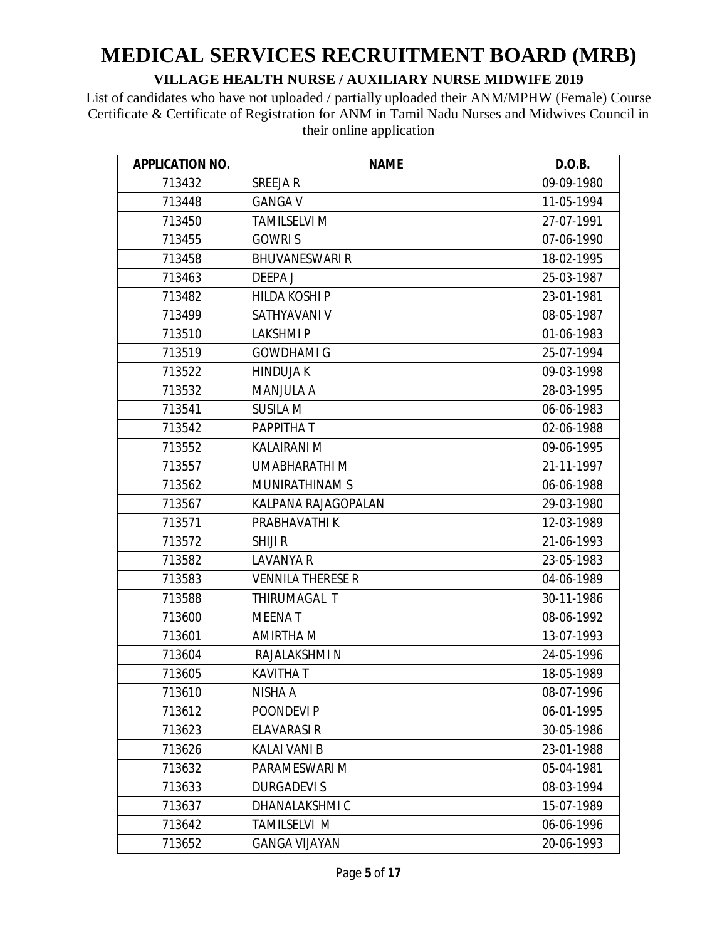| <b>APPLICATION NO.</b> | <b>NAME</b>              | D.O.B.     |
|------------------------|--------------------------|------------|
| 713432                 | <b>SREEJAR</b>           | 09-09-1980 |
| 713448                 | <b>GANGA V</b>           | 11-05-1994 |
| 713450                 | <b>TAMILSELVI M</b>      | 27-07-1991 |
| 713455                 | <b>GOWRIS</b>            | 07-06-1990 |
| 713458                 | <b>BHUVANESWARI R</b>    | 18-02-1995 |
| 713463                 | <b>DEEPAJ</b>            | 25-03-1987 |
| 713482                 | <b>HILDA KOSHI P</b>     | 23-01-1981 |
| 713499                 | SATHYAVANI V             | 08-05-1987 |
| 713510                 | <b>LAKSHMIP</b>          | 01-06-1983 |
| 713519                 | <b>GOWDHAMI G</b>        | 25-07-1994 |
| 713522                 | <b>HINDUJA K</b>         | 09-03-1998 |
| 713532                 | <b>MANJULA A</b>         | 28-03-1995 |
| 713541                 | <b>SUSILA M</b>          | 06-06-1983 |
| 713542                 | PAPPITHA T               | 02-06-1988 |
| 713552                 | KALAIRANI M              | 09-06-1995 |
| 713557                 | <b>UMABHARATHI M</b>     | 21-11-1997 |
| 713562                 | MUNIRATHINAM S           | 06-06-1988 |
| 713567                 | KALPANA RAJAGOPALAN      | 29-03-1980 |
| 713571                 | PRABHAVATHI K            | 12-03-1989 |
| 713572                 | <b>SHIJI R</b>           | 21-06-1993 |
| 713582                 | <b>LAVANYA R</b>         | 23-05-1983 |
| 713583                 | <b>VENNILA THERESE R</b> | 04-06-1989 |
| 713588                 | THIRUMAGAL T             | 30-11-1986 |
| 713600                 | <b>MEENAT</b>            | 08-06-1992 |
| 713601                 | AMIRTHA M                | 13-07-1993 |
| 713604                 | RAJALAKSHMI N            | 24-05-1996 |
| 713605                 | <b>KAVITHAT</b>          | 18-05-1989 |
| 713610                 | NISHA A                  | 08-07-1996 |
| 713612                 | POONDEVI P               | 06-01-1995 |
| 713623                 | <b>ELAVARASI R</b>       | 30-05-1986 |
| 713626                 | <b>KALAI VANI B</b>      | 23-01-1988 |
| 713632                 | PARAMESWARI M            | 05-04-1981 |
| 713633                 | <b>DURGADEVIS</b>        | 08-03-1994 |
| 713637                 | DHANALAKSHMI C           | 15-07-1989 |
| 713642                 | TAMILSELVI M             | 06-06-1996 |
| 713652                 | <b>GANGA VIJAYAN</b>     | 20-06-1993 |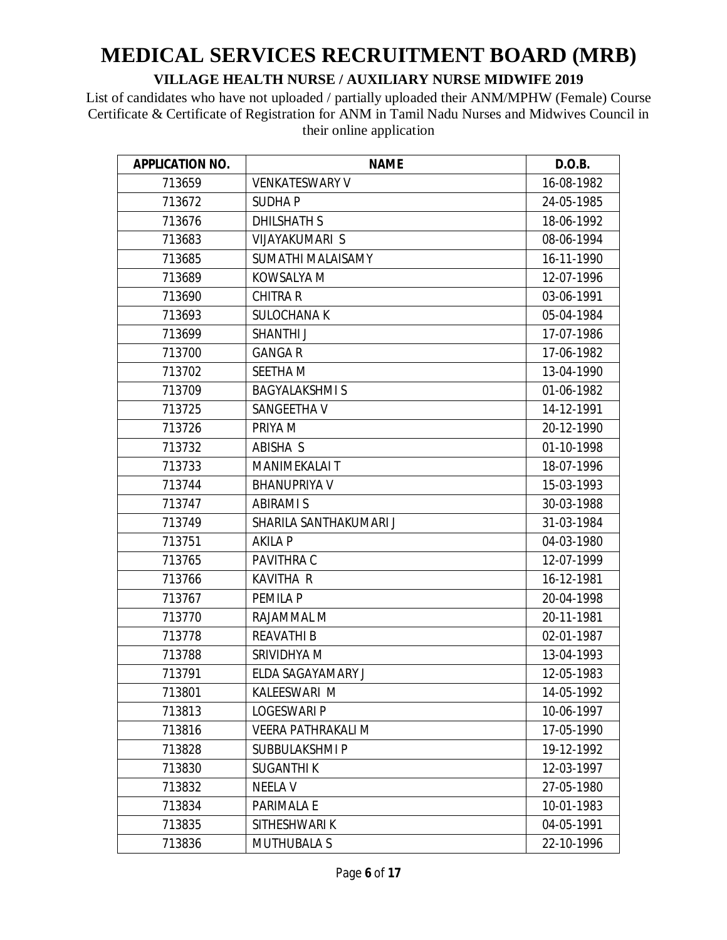| <b>APPLICATION NO.</b> | <b>NAME</b>               | D.O.B.     |
|------------------------|---------------------------|------------|
| 713659                 | <b>VENKATESWARY V</b>     | 16-08-1982 |
| 713672                 | <b>SUDHAP</b>             | 24-05-1985 |
| 713676                 | <b>DHILSHATH S</b>        | 18-06-1992 |
| 713683                 | <b>VIJAYAKUMARI S</b>     | 08-06-1994 |
| 713685                 | SUMATHI MALAISAMY         | 16-11-1990 |
| 713689                 | KOWSALYA M                | 12-07-1996 |
| 713690                 | <b>CHITRA R</b>           | 03-06-1991 |
| 713693                 | <b>SULOCHANA K</b>        | 05-04-1984 |
| 713699                 | <b>SHANTHI J</b>          | 17-07-1986 |
| 713700                 | <b>GANGAR</b>             | 17-06-1982 |
| 713702                 | <b>SEETHAM</b>            | 13-04-1990 |
| 713709                 | <b>BAGYALAKSHMIS</b>      | 01-06-1982 |
| 713725                 | SANGEETHA V               | 14-12-1991 |
| 713726                 | PRIYA M                   | 20-12-1990 |
| 713732                 | ABISHA S                  | 01-10-1998 |
| 713733                 | <b>MANIMEKALAI T</b>      | 18-07-1996 |
| 713744                 | <b>BHANUPRIYA V</b>       | 15-03-1993 |
| 713747                 | <b>ABIRAMI S</b>          | 30-03-1988 |
| 713749                 | SHARILA SANTHAKUMARI J    | 31-03-1984 |
| 713751                 | <b>AKILA P</b>            | 04-03-1980 |
| 713765                 | PAVITHRA C                | 12-07-1999 |
| 713766                 | <b>KAVITHA R</b>          | 16-12-1981 |
| 713767                 | <b>PEMILA P</b>           | 20-04-1998 |
| 713770                 | RAJAMMAL M                | 20-11-1981 |
| 713778                 | <b>REAVATHI B</b>         | 02-01-1987 |
| 713788                 | SRIVIDHYA M               | 13-04-1993 |
| 713791                 | ELDA SAGAYAMARY J         | 12-05-1983 |
| 713801                 | KALEESWARI M              | 14-05-1992 |
| 713813                 | <b>LOGESWARI P</b>        | 10-06-1997 |
| 713816                 | <b>VEERA PATHRAKALI M</b> | 17-05-1990 |
| 713828                 | SUBBULAKSHMI P            | 19-12-1992 |
| 713830                 | <b>SUGANTHI K</b>         | 12-03-1997 |
| 713832                 | <b>NEELA V</b>            | 27-05-1980 |
| 713834                 | PARIMALA E                | 10-01-1983 |
| 713835                 | SITHESHWARI K             | 04-05-1991 |
| 713836                 | <b>MUTHUBALA S</b>        | 22-10-1996 |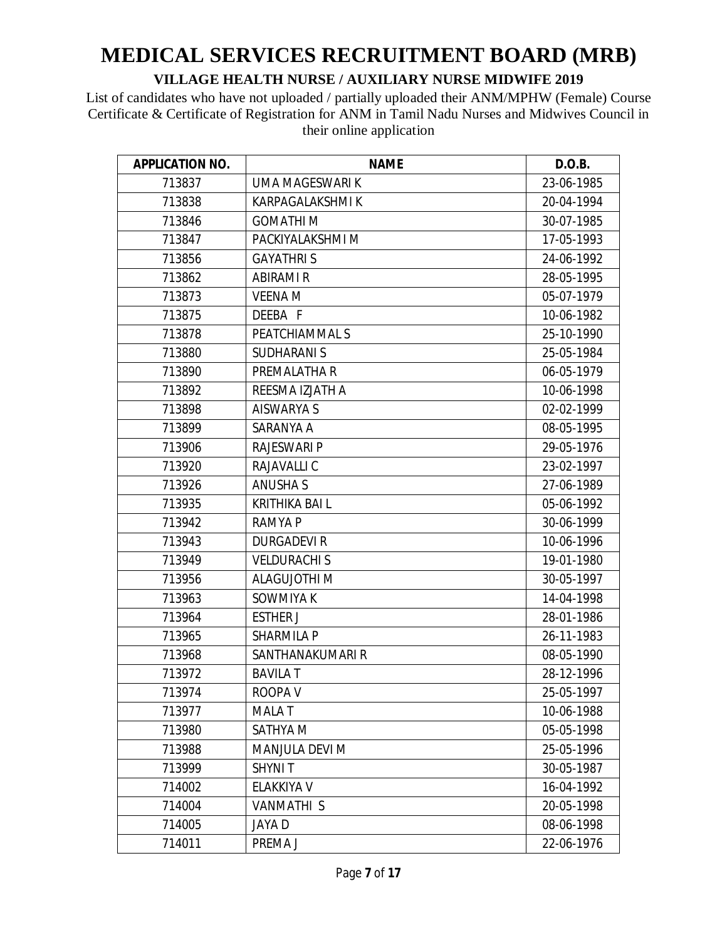| <b>APPLICATION NO.</b> | <b>NAME</b>           | D.O.B.     |
|------------------------|-----------------------|------------|
| 713837                 | UMA MAGESWARI K       | 23-06-1985 |
| 713838                 | KARPAGALAKSHMI K      | 20-04-1994 |
|                        |                       |            |
| 713846                 | <b>GOMATHIM</b>       | 30-07-1985 |
| 713847                 | PACKIYALAKSHMI M      | 17-05-1993 |
| 713856                 | <b>GAYATHRIS</b>      | 24-06-1992 |
| 713862                 | <b>ABIRAMI R</b>      | 28-05-1995 |
| 713873                 | <b>VEENA M</b>        | 05-07-1979 |
| 713875                 | DEEBA F               | 10-06-1982 |
| 713878                 | PEATCHIAMMAL S        | 25-10-1990 |
| 713880                 | <b>SUDHARANI S</b>    | 25-05-1984 |
| 713890                 | PREMALATHA R          | 06-05-1979 |
| 713892                 | REESMA IZJATH A       | 10-06-1998 |
| 713898                 | <b>AISWARYA S</b>     | 02-02-1999 |
| 713899                 | SARANYA A             | 08-05-1995 |
| 713906                 | <b>RAJESWARI P</b>    | 29-05-1976 |
| 713920                 | RAJAVALLI C           | 23-02-1997 |
| 713926                 | <b>ANUSHA S</b>       | 27-06-1989 |
| 713935                 | <b>KRITHIKA BAI L</b> | 05-06-1992 |
| 713942                 | <b>RAMYA P</b>        | 30-06-1999 |
| 713943                 | <b>DURGADEVI R</b>    | 10-06-1996 |
| 713949                 | <b>VELDURACHI S</b>   | 19-01-1980 |
| 713956                 | <b>ALAGUJOTHI M</b>   | 30-05-1997 |
| 713963                 | SOWMIYA K             | 14-04-1998 |
| 713964                 | <b>ESTHER J</b>       | 28-01-1986 |
| 713965                 | <b>SHARMILA P</b>     | 26-11-1983 |
| 713968                 | SANTHANAKUMARI R      | 08-05-1990 |
| 713972                 | <b>BAVILA T</b>       | 28-12-1996 |
| 713974                 | ROOPA V               | 25-05-1997 |
| 713977                 | <b>MALAT</b>          | 10-06-1988 |
| 713980                 | SATHYA M              | 05-05-1998 |
| 713988                 | <b>MANJULA DEVI M</b> | 25-05-1996 |
| 713999                 | <b>SHYNIT</b>         | 30-05-1987 |
| 714002                 | ELAKKIYA V            | 16-04-1992 |
| 714004                 | <b>VANMATHI S</b>     | 20-05-1998 |
| 714005                 | <b>JAYAD</b>          | 08-06-1998 |
| 714011                 | PREMA J               | 22-06-1976 |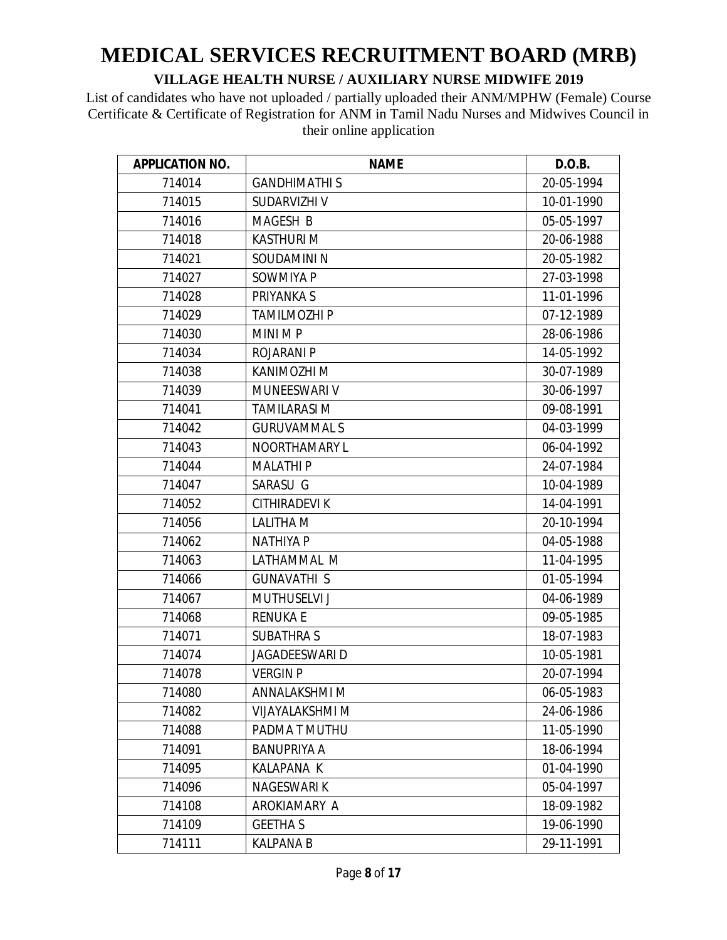| <b>APPLICATION NO.</b> | <b>NAME</b>           | D.O.B.     |
|------------------------|-----------------------|------------|
| 714014                 | <b>GANDHIMATHI S</b>  | 20-05-1994 |
| 714015                 | SUDARVIZHI V          | 10-01-1990 |
| 714016                 | MAGESH B              | 05-05-1997 |
| 714018                 | <b>KASTHURI M</b>     | 20-06-1988 |
| 714021                 | SOUDAMINI N           | 20-05-1982 |
| 714027                 | SOWMIYA P             | 27-03-1998 |
| 714028                 | <b>PRIYANKA S</b>     | 11-01-1996 |
| 714029                 | <b>TAMILMOZHI P</b>   | 07-12-1989 |
| 714030                 | MINI M P              | 28-06-1986 |
| 714034                 | <b>ROJARANI P</b>     | 14-05-1992 |
| 714038                 | KANIMOZHI M           | 30-07-1989 |
| 714039                 | MUNEESWARI V          | 30-06-1997 |
| 714041                 | <b>TAMILARASI M</b>   | 09-08-1991 |
| 714042                 | <b>GURUVAMMALS</b>    | 04-03-1999 |
| 714043                 | NOORTHAMARY L         | 06-04-1992 |
| 714044                 | <b>MALATHIP</b>       | 24-07-1984 |
| 714047                 | SARASU G              | 10-04-1989 |
| 714052                 | <b>CITHIRADEVIK</b>   | 14-04-1991 |
| 714056                 | <b>LALITHA M</b>      | 20-10-1994 |
| 714062                 | <b>NATHIYA P</b>      | 04-05-1988 |
| 714063                 | LATHAMMAL M           | 11-04-1995 |
| 714066                 | <b>GUNAVATHI S</b>    | 01-05-1994 |
| 714067                 | <b>MUTHUSELVI J</b>   | 04-06-1989 |
| 714068                 | <b>RENUKA E</b>       | 09-05-1985 |
| 714071                 | <b>SUBATHRA S</b>     | 18-07-1983 |
| 714074                 | <b>JAGADEESWARI D</b> | 10-05-1981 |
| 714078                 | <b>VERGIN P</b>       | 20-07-1994 |
| 714080                 | ANNALAKSHMI M         | 06-05-1983 |
| 714082                 | VIJAYALAKSHMI M       | 24-06-1986 |
| 714088                 | PADMA T MUTHU         | 11-05-1990 |
| 714091                 | <b>BANUPRIYA A</b>    | 18-06-1994 |
| 714095                 | <b>KALAPANA K</b>     | 01-04-1990 |
| 714096                 | <b>NAGESWARIK</b>     | 05-04-1997 |
| 714108                 | AROKIAMARY A          | 18-09-1982 |
| 714109                 | <b>GEETHAS</b>        | 19-06-1990 |
| 714111                 | <b>KALPANA B</b>      | 29-11-1991 |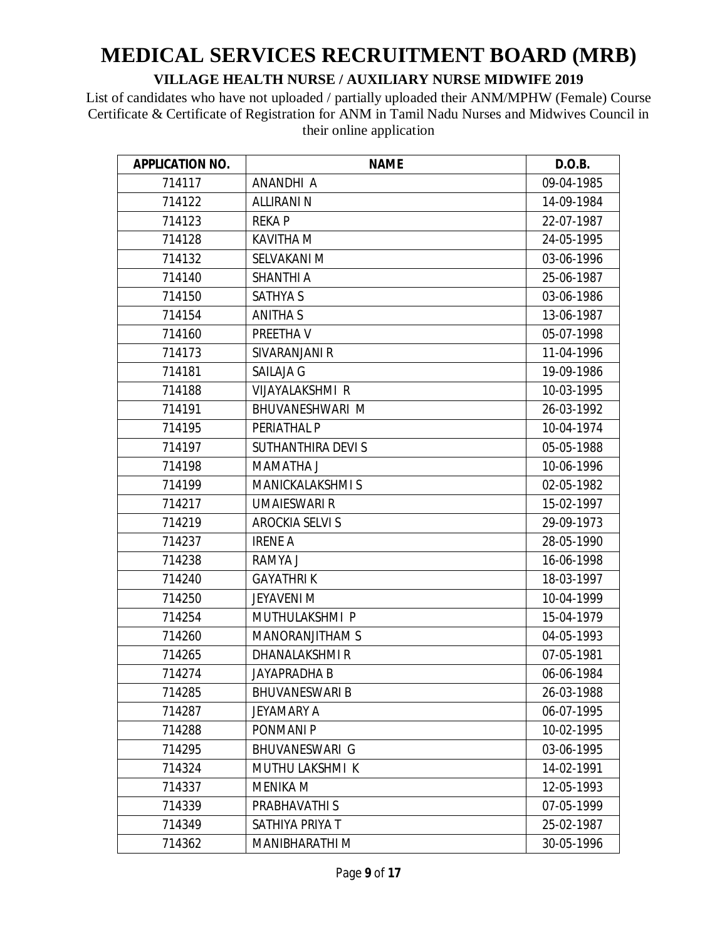| <b>APPLICATION NO.</b> | <b>NAME</b>             | D.O.B.     |
|------------------------|-------------------------|------------|
| 714117                 | ANANDHI A               | 09-04-1985 |
| 714122                 | <b>ALLIRANI N</b>       | 14-09-1984 |
| 714123                 | <b>REKAP</b>            | 22-07-1987 |
| 714128                 | <b>KAVITHA M</b>        | 24-05-1995 |
| 714132                 | SELVAKANI M             | 03-06-1996 |
| 714140                 | <b>SHANTHI A</b>        | 25-06-1987 |
| 714150                 | <b>SATHYA S</b>         | 03-06-1986 |
| 714154                 | <b>ANITHA S</b>         | 13-06-1987 |
| 714160                 | PREETHA V               | 05-07-1998 |
| 714173                 | SIVARANJANI R           | 11-04-1996 |
| 714181                 | SAILAJA G               | 19-09-1986 |
| 714188                 | <b>VIJAYALAKSHMI R</b>  | 10-03-1995 |
| 714191                 | BHUVANESHWARI M         | 26-03-1992 |
| 714195                 | PERIATHAL P             | 10-04-1974 |
| 714197                 | SUTHANTHIRA DEVI S      | 05-05-1988 |
| 714198                 | MAMATHA J               | 10-06-1996 |
| 714199                 | <b>MANICKALAKSHMI S</b> | 02-05-1982 |
| 714217                 | <b>UMAIESWARI R</b>     | 15-02-1997 |
| 714219                 | <b>AROCKIA SELVI S</b>  | 29-09-1973 |
| 714237                 | <b>IRENE A</b>          | 28-05-1990 |
| 714238                 | RAMYA J                 | 16-06-1998 |
| 714240                 | <b>GAYATHRIK</b>        | 18-03-1997 |
| 714250                 | <b>JEYAVENI M</b>       | 10-04-1999 |
| 714254                 | MUTHULAKSHMI P          | 15-04-1979 |
| 714260                 | <b>MANORANJITHAM S</b>  | 04-05-1993 |
| 714265                 | <b>DHANALAKSHMIR</b>    | 07-05-1981 |
| 714274                 | <b>JAYAPRADHA B</b>     | 06-06-1984 |
| 714285                 | <b>BHUVANESWARI B</b>   | 26-03-1988 |
| 714287                 | JEYAMARY A              | 06-07-1995 |
| 714288                 | PONMANI P               | 10-02-1995 |
| 714295                 | <b>BHUVANESWARI G</b>   | 03-06-1995 |
| 714324                 | <b>MUTHU LAKSHMI K</b>  | 14-02-1991 |
| 714337                 | <b>MENIKA M</b>         | 12-05-1993 |
| 714339                 | PRABHAVATHI S           | 07-05-1999 |
| 714349                 | SATHIYA PRIYA T         | 25-02-1987 |
| 714362                 | MANIBHARATHI M          | 30-05-1996 |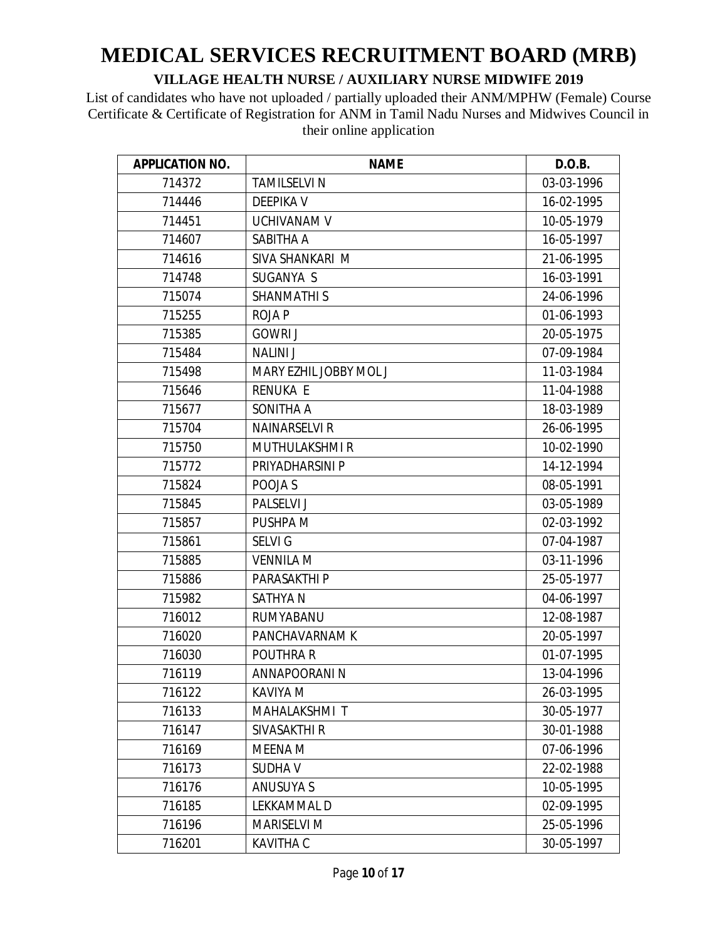| <b>APPLICATION NO.</b> | <b>NAME</b>            | D.O.B.     |
|------------------------|------------------------|------------|
| 714372                 | <b>TAMILSELVI N</b>    | 03-03-1996 |
| 714446                 | <b>DEEPIKA V</b>       | 16-02-1995 |
| 714451                 | UCHIVANAM V            | 10-05-1979 |
| 714607                 | SABITHA A              | 16-05-1997 |
| 714616                 | SIVA SHANKARI M        | 21-06-1995 |
| 714748                 | SUGANYA S              | 16-03-1991 |
| 715074                 | <b>SHANMATHIS</b>      | 24-06-1996 |
| 715255                 | <b>ROJAP</b>           | 01-06-1993 |
| 715385                 | <b>GOWRI J</b>         | 20-05-1975 |
| 715484                 | <b>NALINI J</b>        | 07-09-1984 |
| 715498                 | MARY EZHIL JOBBY MOL J | 11-03-1984 |
| 715646                 | <b>RENUKA E</b>        | 11-04-1988 |
| 715677                 | SONITHA A              | 18-03-1989 |
| 715704                 | <b>NAINARSELVI R</b>   | 26-06-1995 |
| 715750                 | <b>MUTHULAKSHMIR</b>   | 10-02-1990 |
| 715772                 | PRIYADHARSINI P        | 14-12-1994 |
| 715824                 | POOJA S                | 08-05-1991 |
| 715845                 | PALSELVI J             | 03-05-1989 |
| 715857                 | PUSHPA M               | 02-03-1992 |
| 715861                 | <b>SELVIG</b>          | 07-04-1987 |
| 715885                 | <b>VENNILA M</b>       | 03-11-1996 |
| 715886                 | <b>PARASAKTHI P</b>    | 25-05-1977 |
| 715982                 | <b>SATHYAN</b>         | 04-06-1997 |
| 716012                 | RUMYABANU              | 12-08-1987 |
| 716020                 | PANCHAVARNAM K         | 20-05-1997 |
| 716030                 | POUTHRA R              | 01-07-1995 |
| 716119                 | ANNAPOORANI N          | 13-04-1996 |
| 716122                 | KAVIYA M               | 26-03-1995 |
| 716133                 | MAHALAKSHMI T          | 30-05-1977 |
| 716147                 | SIVASAKTHI R           | 30-01-1988 |
| 716169                 | MEENA M                | 07-06-1996 |
| 716173                 | <b>SUDHAV</b>          | 22-02-1988 |
| 716176                 | <b>ANUSUYA S</b>       | 10-05-1995 |
| 716185                 | LEKKAMMAL D            | 02-09-1995 |
| 716196                 | <b>MARISELVI M</b>     | 25-05-1996 |
| 716201                 | <b>KAVITHA C</b>       | 30-05-1997 |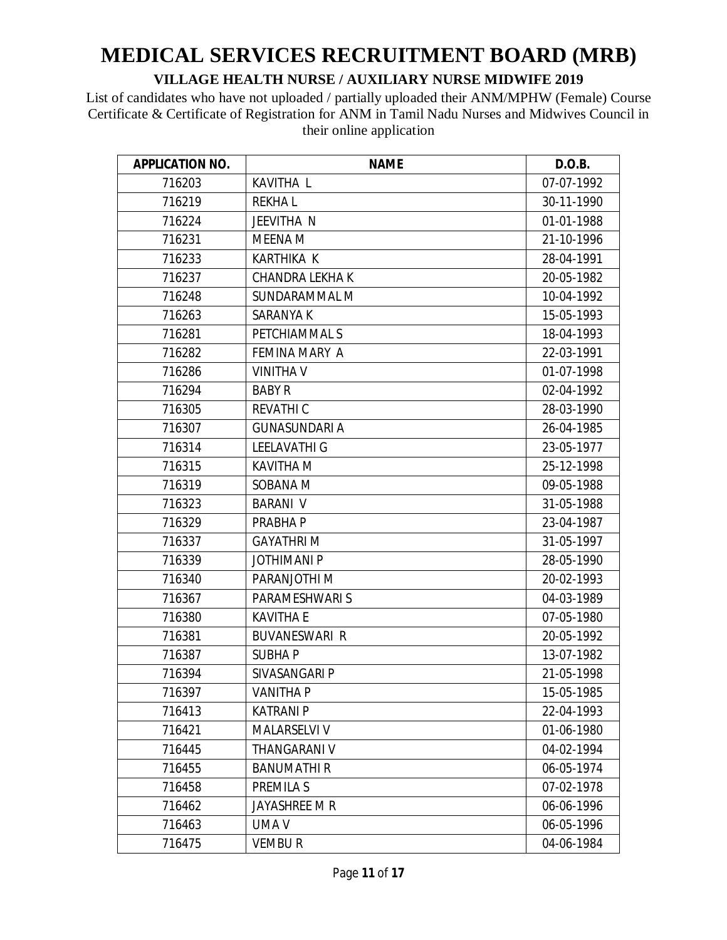| <b>APPLICATION NO.</b> | <b>NAME</b>            | D.O.B.     |
|------------------------|------------------------|------------|
| 716203                 | <b>KAVITHA L</b>       | 07-07-1992 |
| 716219                 | <b>REKHAL</b>          | 30-11-1990 |
| 716224                 | JEEVITHA N             | 01-01-1988 |
| 716231                 | MEENA M                | 21-10-1996 |
| 716233                 | <b>KARTHIKA K</b>      | 28-04-1991 |
| 716237                 | <b>CHANDRA LEKHA K</b> | 20-05-1982 |
| 716248                 | SUNDARAMMAL M          | 10-04-1992 |
| 716263                 | <b>SARANYA K</b>       | 15-05-1993 |
| 716281                 | PETCHIAMMAL S          | 18-04-1993 |
| 716282                 | FEMINA MARY A          | 22-03-1991 |
| 716286                 | <b>VINITHA V</b>       | 01-07-1998 |
| 716294                 | <b>BABY R</b>          | 02-04-1992 |
| 716305                 | <b>REVATHIC</b>        | 28-03-1990 |
| 716307                 | <b>GUNASUNDARI A</b>   | 26-04-1985 |
| 716314                 | <b>LEELAVATHI G</b>    | 23-05-1977 |
| 716315                 | <b>KAVITHA M</b>       | 25-12-1998 |
| 716319                 | SOBANA M               | 09-05-1988 |
| 716323                 | <b>BARANI V</b>        | 31-05-1988 |
| 716329                 | PRABHA P               | 23-04-1987 |
| 716337                 | <b>GAYATHRIM</b>       | 31-05-1997 |
| 716339                 | <b>JOTHIMANI P</b>     | 28-05-1990 |
| 716340                 | PARANJOTHI M           | 20-02-1993 |
| 716367                 | PARAMESHWARI S         | 04-03-1989 |
| 716380                 | <b>KAVITHA E</b>       | 07-05-1980 |
| 716381                 | <b>BUVANESWARI R</b>   | 20-05-1992 |
| 716387                 | <b>SUBHAP</b>          | 13-07-1982 |
| 716394                 | SIVASANGARI P          | 21-05-1998 |
| 716397                 | <b>VANITHA P</b>       | 15-05-1985 |
| 716413                 | <b>KATRANI P</b>       | 22-04-1993 |
| 716421                 | <b>MALARSELVI V</b>    | 01-06-1980 |
| 716445                 | <b>THANGARANI V</b>    | 04-02-1994 |
| 716455                 | <b>BANUMATHIR</b>      | 06-05-1974 |
| 716458                 | <b>PREMILA S</b>       | 07-02-1978 |
| 716462                 | JAYASHREE M R          | 06-06-1996 |
| 716463                 | UMA V                  | 06-05-1996 |
| 716475                 | <b>VEMBUR</b>          | 04-06-1984 |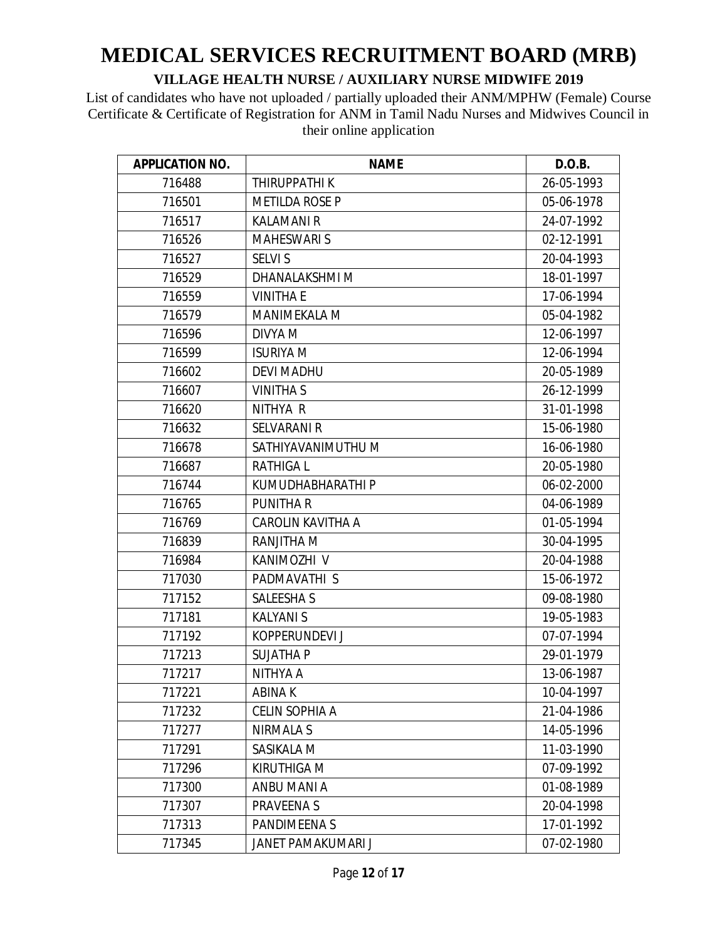| <b>APPLICATION NO.</b> | <b>NAME</b>           | D.O.B.     |
|------------------------|-----------------------|------------|
| 716488                 | THIRUPPATHI K         | 26-05-1993 |
| 716501                 | <b>METILDA ROSE P</b> | 05-06-1978 |
| 716517                 | <b>KALAMANI R</b>     | 24-07-1992 |
| 716526                 | <b>MAHESWARI S</b>    | 02-12-1991 |
| 716527                 | <b>SELVI S</b>        | 20-04-1993 |
| 716529                 | DHANALAKSHMI M        | 18-01-1997 |
| 716559                 | <b>VINITHA E</b>      | 17-06-1994 |
| 716579                 | MANIMEKALA M          | 05-04-1982 |
| 716596                 | DIVYA M               | 12-06-1997 |
| 716599                 | <b>ISURIYA M</b>      | 12-06-1994 |
| 716602                 | <b>DEVI MADHU</b>     | 20-05-1989 |
| 716607                 | <b>VINITHA S</b>      | 26-12-1999 |
| 716620                 | NITHYA R              | 31-01-1998 |
| 716632                 | <b>SELVARANI R</b>    | 15-06-1980 |
| 716678                 | SATHIYAVANIMUTHU M    | 16-06-1980 |
| 716687                 | <b>RATHIGAL</b>       | 20-05-1980 |
| 716744                 | KUMUDHABHARATHI P     | 06-02-2000 |
| 716765                 | <b>PUNITHAR</b>       | 04-06-1989 |
| 716769                 | CAROLIN KAVITHA A     | 01-05-1994 |
| 716839                 | <b>RANJITHA M</b>     | 30-04-1995 |
| 716984                 | KANIMOZHI V           | 20-04-1988 |
| 717030                 | PADMAVATHI S          | 15-06-1972 |
| 717152                 | <b>SALEESHAS</b>      | 09-08-1980 |
| 717181                 | <b>KALYANIS</b>       | 19-05-1983 |
| 717192                 | KOPPERUNDEVI J        | 07-07-1994 |
| 717213                 | <b>SUJATHA P</b>      | 29-01-1979 |
| 717217                 | NITHYA A              | 13-06-1987 |
| 717221                 | ABINA K               | 10-04-1997 |
| 717232                 | <b>CELIN SOPHIA A</b> | 21-04-1986 |
| 717277                 | NIRMALA S             | 14-05-1996 |
| 717291                 | SASIKALA M            | 11-03-1990 |
| 717296                 | KIRUTHIGA M           | 07-09-1992 |
| 717300                 | ANBU MANI A           | 01-08-1989 |
| 717307                 | <b>PRAVEENAS</b>      | 20-04-1998 |
| 717313                 | PANDIMEENA S          | 17-01-1992 |
| 717345                 | JANET PAMAKUMARI J    | 07-02-1980 |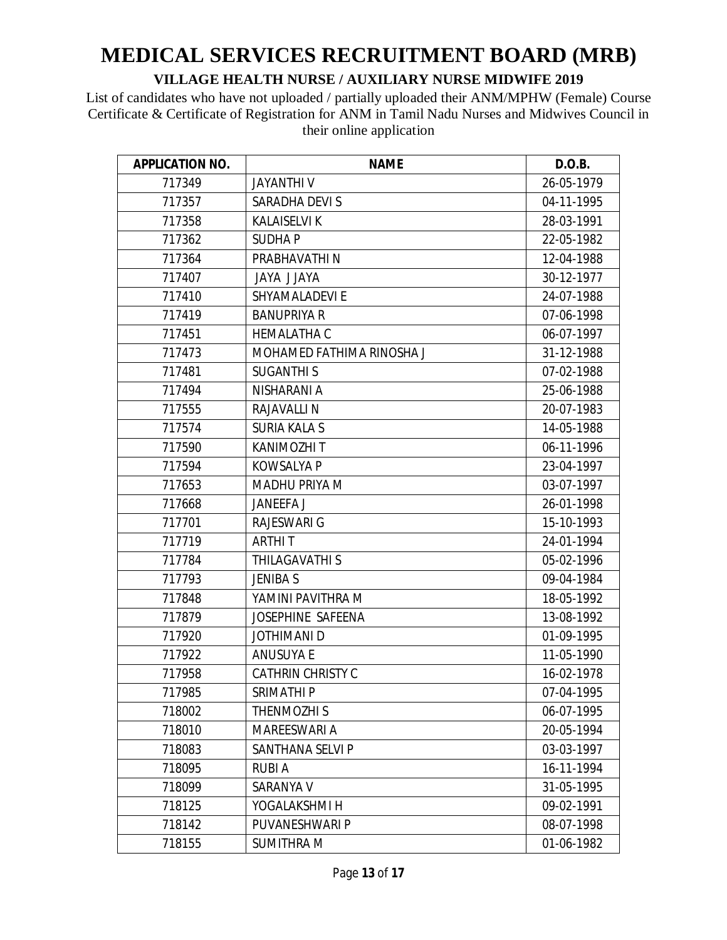| <b>APPLICATION NO.</b> | <b>NAME</b>               | D.O.B.     |
|------------------------|---------------------------|------------|
| 717349                 | <b>JAYANTHIV</b>          | 26-05-1979 |
| 717357                 | SARADHA DEVI S            | 04-11-1995 |
| 717358                 | <b>KALAISELVI K</b>       | 28-03-1991 |
| 717362                 | <b>SUDHAP</b>             | 22-05-1982 |
| 717364                 | PRABHAVATHI N             | 12-04-1988 |
| 717407                 | <b>AYALL AYAL</b>         | 30-12-1977 |
| 717410                 | SHYAMALADEVI E            | 24-07-1988 |
| 717419                 | <b>BANUPRIYA R</b>        | 07-06-1998 |
| 717451                 | <b>HEMALATHA C</b>        | 06-07-1997 |
| 717473                 | MOHAMED FATHIMA RINOSHA J | 31-12-1988 |
| 717481                 | <b>SUGANTHIS</b>          | 07-02-1988 |
| 717494                 | NISHARANI A               | 25-06-1988 |
| 717555                 | <b>RAJAVALLI N</b>        | 20-07-1983 |
| 717574                 | <b>SURIA KALA S</b>       | 14-05-1988 |
| 717590                 | <b>KANIMOZHI T</b>        | 06-11-1996 |
| 717594                 | <b>KOWSALYA P</b>         | 23-04-1997 |
| 717653                 | <b>MADHU PRIYA M</b>      | 03-07-1997 |
| 717668                 | <b>JANEEFA J</b>          | 26-01-1998 |
| 717701                 | <b>RAJESWARI G</b>        | 15-10-1993 |
| 717719                 | <b>ARTHIT</b>             | 24-01-1994 |
| 717784                 | THILAGAVATHI S            | 05-02-1996 |
| 717793                 | <b>JENIBAS</b>            | 09-04-1984 |
| 717848                 | YAMINI PAVITHRA M         | 18-05-1992 |
| 717879                 | <b>JOSEPHINE SAFEENA</b>  | 13-08-1992 |
| 717920                 | <b>JOTHIMANI D</b>        | 01-09-1995 |
| 717922                 | <b>ANUSUYA E</b>          | 11-05-1990 |
| 717958                 | <b>CATHRIN CHRISTY C</b>  | 16-02-1978 |
| 717985                 | SRIMATHI P                | 07-04-1995 |
| 718002                 | THENMOZHI S               | 06-07-1995 |
| 718010                 | MAREESWARI A              | 20-05-1994 |
| 718083                 | SANTHANA SELVI P          | 03-03-1997 |
| 718095                 | <b>RUBIA</b>              | 16-11-1994 |
| 718099                 | SARANYA V                 | 31-05-1995 |
| 718125                 | YOGALAKSHMI H             | 09-02-1991 |
| 718142                 | PUVANESHWARI P            | 08-07-1998 |
| 718155                 | <b>SUMITHRA M</b>         | 01-06-1982 |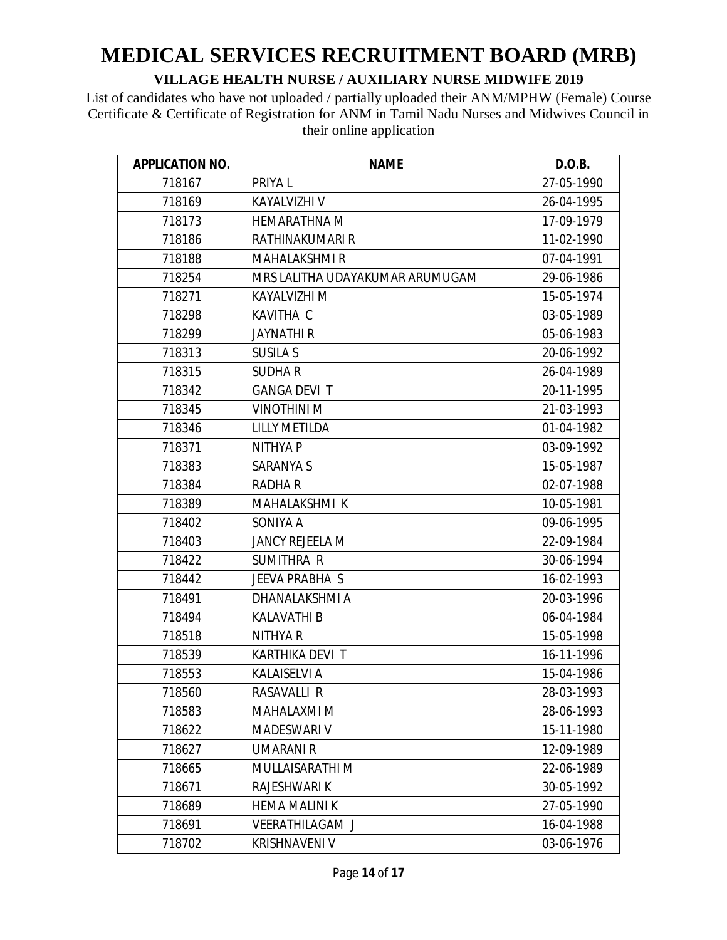| <b>APPLICATION NO.</b> | <b>NAME</b>                     | D.O.B.     |
|------------------------|---------------------------------|------------|
| 718167                 | PRIYA L                         | 27-05-1990 |
| 718169                 | KAYALVIZHI V                    | 26-04-1995 |
| 718173                 | <b>HEMARATHNA M</b>             | 17-09-1979 |
| 718186                 | RATHINAKUMARI R                 | 11-02-1990 |
| 718188                 | <b>MAHALAKSHMI R</b>            | 07-04-1991 |
| 718254                 | MRS LALITHA UDAYAKUMAR ARUMUGAM | 29-06-1986 |
| 718271                 | KAYALVIZHI M                    | 15-05-1974 |
| 718298                 | <b>KAVITHA C</b>                | 03-05-1989 |
| 718299                 | <b>JAYNATHIR</b>                | 05-06-1983 |
| 718313                 | <b>SUSILA S</b>                 | 20-06-1992 |
| 718315                 | <b>SUDHAR</b>                   | 26-04-1989 |
| 718342                 | <b>GANGA DEVI T</b>             | 20-11-1995 |
| 718345                 | <b>VINOTHINI M</b>              | 21-03-1993 |
| 718346                 | <b>LILLY METILDA</b>            | 01-04-1982 |
| 718371                 | <b>NITHYAP</b>                  | 03-09-1992 |
| 718383                 | SARANYA S                       | 15-05-1987 |
| 718384                 | <b>RADHA R</b>                  | 02-07-1988 |
| 718389                 | MAHALAKSHMI K                   | 10-05-1981 |
| 718402                 | SONIYA A                        | 09-06-1995 |
| 718403                 | <b>JANCY REJEELA M</b>          | 22-09-1984 |
| 718422                 | SUMITHRA R                      | 30-06-1994 |
| 718442                 | JEEVA PRABHA S                  | 16-02-1993 |
| 718491                 | DHANALAKSHMI A                  | 20-03-1996 |
| 718494                 | <b>KALAVATHI B</b>              | 06-04-1984 |
| 718518                 | <b>NITHYA R</b>                 | 15-05-1998 |
| 718539                 | KARTHIKA DEVI T                 | 16-11-1996 |
| 718553                 | <b>KALAISELVI A</b>             | 15-04-1986 |
| 718560                 | RASAVALLI R                     | 28-03-1993 |
| 718583                 | MAHALAXMI M                     | 28-06-1993 |
| 718622                 | <b>MADESWARI V</b>              | 15-11-1980 |
| 718627                 | <b>UMARANI R</b>                | 12-09-1989 |
| 718665                 | MULLAISARATHI M                 | 22-06-1989 |
| 718671                 | RAJESHWARI K                    | 30-05-1992 |
| 718689                 | <b>HEMA MALINI K</b>            | 27-05-1990 |
| 718691                 | <b>VEERATHILAGAM J</b>          | 16-04-1988 |
| 718702                 | <b>KRISHNAVENI V</b>            | 03-06-1976 |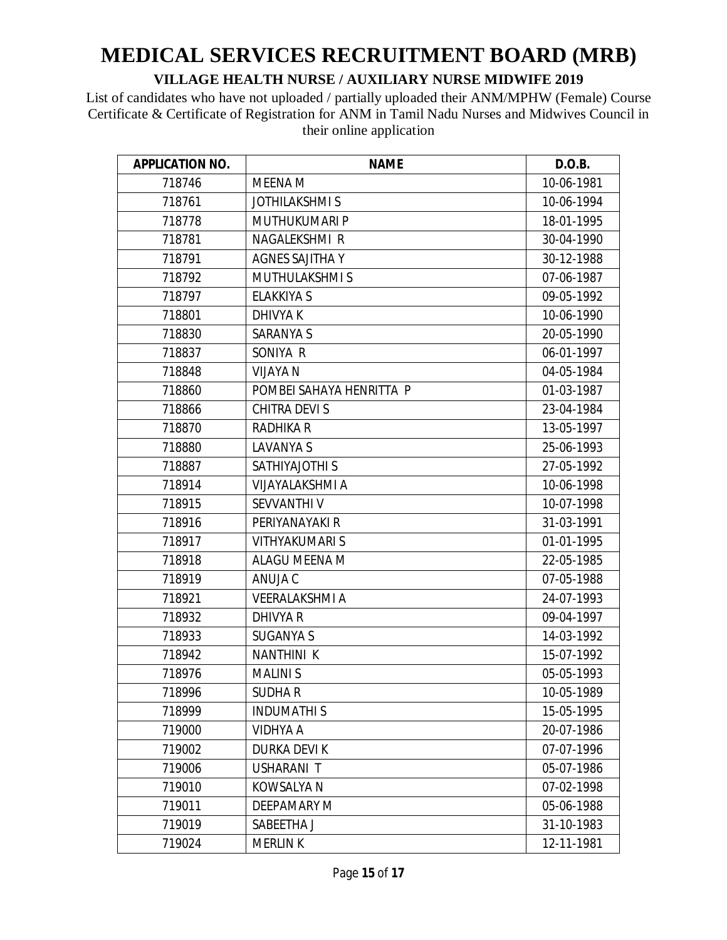| <b>APPLICATION NO.</b> | <b>NAME</b>              | D.O.B.     |
|------------------------|--------------------------|------------|
| 718746                 | <b>MEENA M</b>           | 10-06-1981 |
| 718761                 | <b>JOTHILAKSHMIS</b>     | 10-06-1994 |
| 718778                 | MUTHUKUMARI P            | 18-01-1995 |
| 718781                 | NAGALEKSHMI R            | 30-04-1990 |
| 718791                 | <b>AGNES SAJITHA Y</b>   | 30-12-1988 |
| 718792                 | <b>MUTHULAKSHMIS</b>     | 07-06-1987 |
| 718797                 | <b>ELAKKIYA S</b>        | 09-05-1992 |
| 718801                 | <b>DHIVYAK</b>           | 10-06-1990 |
| 718830                 | <b>SARANYA S</b>         | 20-05-1990 |
| 718837                 | SONIYA R                 | 06-01-1997 |
| 718848                 | <b>VIJAYA N</b>          | 04-05-1984 |
| 718860                 | POMBEI SAHAYA HENRITTA P | 01-03-1987 |
| 718866                 | CHITRA DEVI S            | 23-04-1984 |
| 718870                 | <b>RADHIKA R</b>         | 13-05-1997 |
| 718880                 | <b>LAVANYA S</b>         | 25-06-1993 |
| 718887                 | <b>SATHIYAJOTHI S</b>    | 27-05-1992 |
| 718914                 | VIJAYALAKSHMI A          | 10-06-1998 |
| 718915                 | SEVVANTHI V              | 10-07-1998 |
| 718916                 | PERIYANAYAKI R           | 31-03-1991 |
| 718917                 | <b>VITHYAKUMARI S</b>    | 01-01-1995 |
| 718918                 | ALAGU MEENA M            | 22-05-1985 |
| 718919                 | ANUJA C                  | 07-05-1988 |
| 718921                 | <b>VEERALAKSHMI A</b>    | 24-07-1993 |
| 718932                 | DHIVYA R                 | 09-04-1997 |
| 718933                 | <b>SUGANYA S</b>         | 14-03-1992 |
| 718942                 | <b>NANTHINI K</b>        | 15-07-1992 |
| 718976                 | <b>MALINIS</b>           | 05-05-1993 |
| 718996                 | <b>SUDHAR</b>            | 10-05-1989 |
| 718999                 | <b>INDUMATHIS</b>        | 15-05-1995 |
| 719000                 | VIDHYA A                 | 20-07-1986 |
| 719002                 | <b>DURKA DEVI K</b>      | 07-07-1996 |
| 719006                 | USHARANI T               | 05-07-1986 |
| 719010                 | <b>KOWSALYA N</b>        | 07-02-1998 |
| 719011                 | <b>DEEPAMARY M</b>       | 05-06-1988 |
| 719019                 | SABEETHA J               | 31-10-1983 |
| 719024                 | <b>MERLIN K</b>          | 12-11-1981 |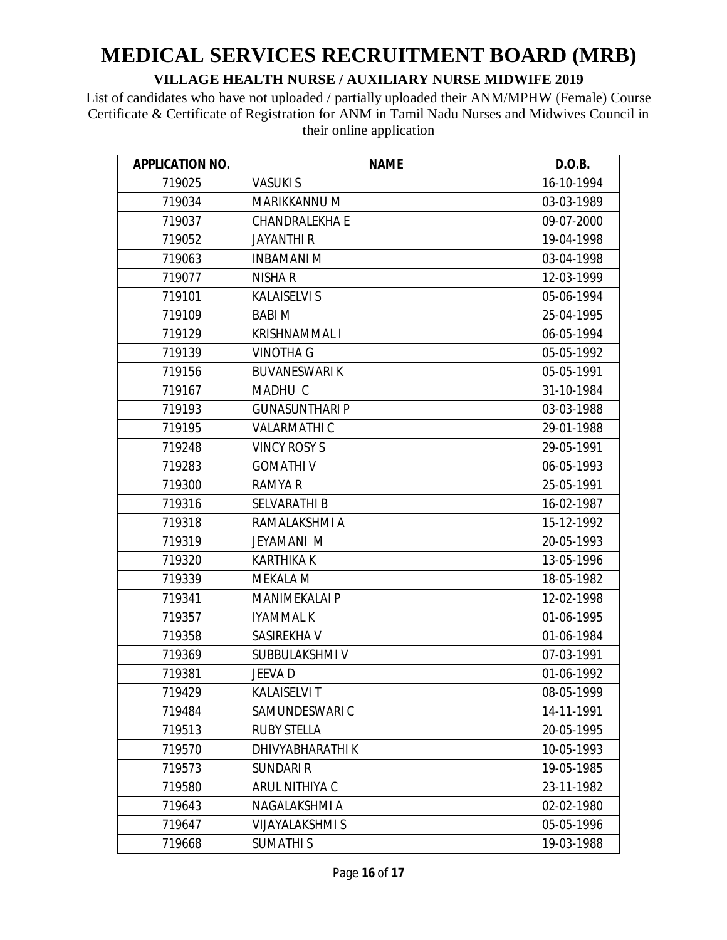| <b>APPLICATION NO.</b> | <b>NAME</b>            | D.O.B.     |
|------------------------|------------------------|------------|
| 719025                 | <b>VASUKIS</b>         | 16-10-1994 |
| 719034                 | MARIKKANNU M           | 03-03-1989 |
| 719037                 | <b>CHANDRALEKHA E</b>  | 09-07-2000 |
| 719052                 | <b>JAYANTHI R</b>      | 19-04-1998 |
| 719063                 | <b>INBAMANIM</b>       | 03-04-1998 |
| 719077                 | <b>NISHA R</b>         | 12-03-1999 |
| 719101                 | <b>KALAISELVI S</b>    | 05-06-1994 |
| 719109                 | <b>BABIM</b>           | 25-04-1995 |
| 719129                 | <b>KRISHNAMMALI</b>    | 06-05-1994 |
| 719139                 | VINOTHA G              | 05-05-1992 |
| 719156                 | <b>BUVANESWARI K</b>   | 05-05-1991 |
| 719167                 | MADHU C                | 31-10-1984 |
| 719193                 | <b>GUNASUNTHARI P</b>  | 03-03-1988 |
| 719195                 | <b>VALARMATHI C</b>    | 29-01-1988 |
| 719248                 | <b>VINCY ROSY S</b>    | 29-05-1991 |
| 719283                 | <b>GOMATHIV</b>        | 06-05-1993 |
| 719300                 | <b>RAMYA R</b>         | 25-05-1991 |
| 719316                 | <b>SELVARATHI B</b>    | 16-02-1987 |
| 719318                 | RAMALAKSHMI A          | 15-12-1992 |
| 719319                 | <b>JEYAMANI M</b>      | 20-05-1993 |
| 719320                 | <b>KARTHIKA K</b>      | 13-05-1996 |
| 719339                 | <b>MEKALA M</b>        | 18-05-1982 |
| 719341                 | <b>MANIMEKALAI P</b>   | 12-02-1998 |
| 719357                 | <b>IYAMMAL K</b>       | 01-06-1995 |
| 719358                 | SASIREKHA V            | 01-06-1984 |
| 719369                 | SUBBULAKSHMI V         | 07-03-1991 |
| 719381                 | JEEVA D                | 01-06-1992 |
| 719429                 | <b>KALAISELVI T</b>    | 08-05-1999 |
| 719484                 | SAMUNDESWARI C         | 14-11-1991 |
| 719513                 | <b>RUBY STELLA</b>     | 20-05-1995 |
| 719570                 | DHIVYABHARATHI K       | 10-05-1993 |
| 719573                 | <b>SUNDARI R</b>       | 19-05-1985 |
| 719580                 | ARUL NITHIYA C         | 23-11-1982 |
| 719643                 | NAGALAKSHMI A          | 02-02-1980 |
| 719647                 | <b>VIJAYALAKSHMI S</b> | 05-05-1996 |
| 719668                 | <b>SUMATHIS</b>        | 19-03-1988 |